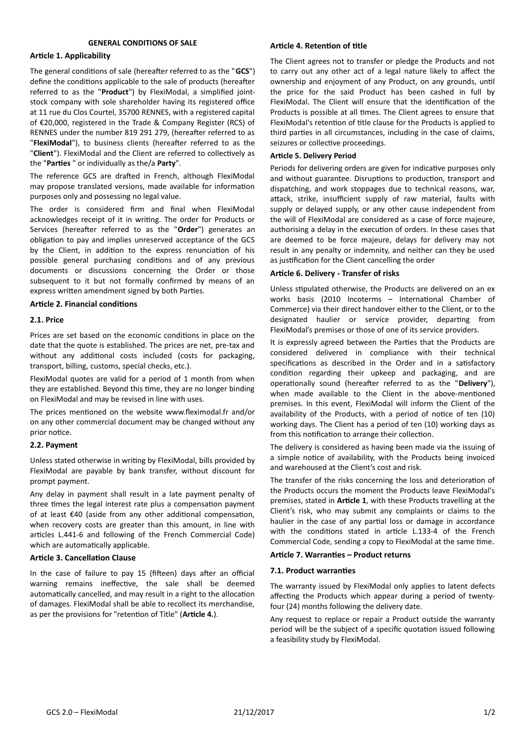# **GENERAL CONDITIONS OF SALE**

### **Article 1. Applicability**

The general conditions of sale (hereafter referred to as the "**GCS**") define the conditions applicable to the sale of products (hereafter referred to as the "**Product**") by FlexiModal, a simplified jointstock company with sole shareholder having its registered office at 11 rue du Clos Courtel, 35700 RENNES, with a registered capital of €20,000, registered in the Trade & Company Register (RCS) of RENNES under the number 819 291 279, (hereafter referred to as "**FlexiModal**"), to business clients (hereafter referred to as the "**Client**"). FlexiModal and the Client are referred to collectively as the "**Parties** " or individually as the/a **Party**".

The reference GCS are drafted in French, although FlexiModal may propose translated versions, made available for information purposes only and possessing no legal value.

The order is considered firm and final when FlexiModal acknowledges receipt of it in writing. The order for Products or Services (hereafter referred to as the "**Order**") generates an obligation to pay and implies unreserved acceptance of the GCS by the Client, in addition to the express renunciation of his possible general purchasing conditions and of any previous documents or discussions concerning the Order or those subsequent to it but not formally confirmed by means of an express written amendment signed by both Parties.

## **Article 2. Financial conditions**

### **2.1. Price**

Prices are set based on the economic conditions in place on the date that the quote is established. The prices are net, pre-tax and without any additional costs included (costs for packaging, transport, billing, customs, special checks, etc.).

FlexiModal quotes are valid for a period of 1 month from when they are established. Beyond this time, they are no longer binding on FlexiModal and may be revised in line with uses.

The prices mentioned on the website www.fleximodal.fr and/or on any other commercial document may be changed without any prior notice.

### **2.2. Payment**

Unless stated otherwise in writing by FlexiModal, bills provided by FlexiModal are payable by bank transfer, without discount for prompt payment.

Any delay in payment shall result in a late payment penalty of three times the legal interest rate plus a compensation payment of at least €40 (aside from any other additional compensation, when recovery costs are greater than this amount, in line with articles L.441-6 and following of the French Commercial Code) which are automatically applicable.

# **Article 3. Cancellation Clause**

In the case of failure to pay 15 (fifteen) days after an official warning remains ineffective, the sale shall be deemed automatically cancelled, and may result in a right to the allocation of damages. FlexiModal shall be able to recollect its merchandise, as per the provisions for "retention of Title" (**Article 4.**).

# **Article 4. Retention of title**

The Client agrees not to transfer or pledge the Products and not to carry out any other act of a legal nature likely to affect the ownership and enjoyment of any Product, on any grounds, until the price for the said Product has been cashed in full by FlexiModal. The Client will ensure that the identification of the Products is possible at all times. The Client agrees to ensure that FlexiModal's retention of title clause for the Products is applied to third parties in all circumstances, including in the case of claims, seizures or collective proceedings.

# **Article 5. Delivery Period**

Periods for delivering orders are given for indicative purposes only and without guarantee. Disruptions to production, transport and dispatching, and work stoppages due to technical reasons, war, attack, strike, insufficient supply of raw material, faults with supply or delayed supply, or any other cause independent from the will of FlexiModal are considered as a case of force majeure, authorising a delay in the execution of orders. In these cases that are deemed to be force majeure, delays for delivery may not result in any penalty or indemnity, and neither can they be used as justification for the Client cancelling the order

### **Article 6. Delivery - Transfer of risks**

Unless stipulated otherwise, the Products are delivered on an ex works basis (2010 Incoterms – International Chamber of Commerce) via their direct handover either to the Client, or to the designated haulier or service provider, departing from FlexiModal's premises or those of one of its service providers.

It is expressly agreed between the Parties that the Products are considered delivered in compliance with their technical specifications as described in the Order and in a satisfactory condition regarding their upkeep and packaging, and are operationally sound (hereafter referred to as the "**Delivery**"), when made available to the Client in the above-mentioned premises. In this event, FlexiModal will inform the Client of the availability of the Products, with a period of notice of ten (10) working days. The Client has a period of ten (10) working days as from this notification to arrange their collection.

The delivery is considered as having been made via the issuing of a simple notice of availability, with the Products being invoiced and warehoused at the Client's cost and risk.

The transfer of the risks concerning the loss and deterioration of the Products occurs the moment the Products leave FlexiModal's premises, stated in **Article 1**, with these Products travelling at the Client's risk, who may submit any complaints or claims to the haulier in the case of any partial loss or damage in accordance with the conditions stated in article L.133-4 of the French Commercial Code, sending a copy to FlexiModal at the same time.

# **Article 7. Warranties – Product returns**

### **7.1. Product warranties**

The warranty issued by FlexiModal only applies to latent defects affecting the Products which appear during a period of twentyfour (24) months following the delivery date.

Any request to replace or repair a Product outside the warranty period will be the subject of a specific quotation issued following a feasibility study by FlexiModal.